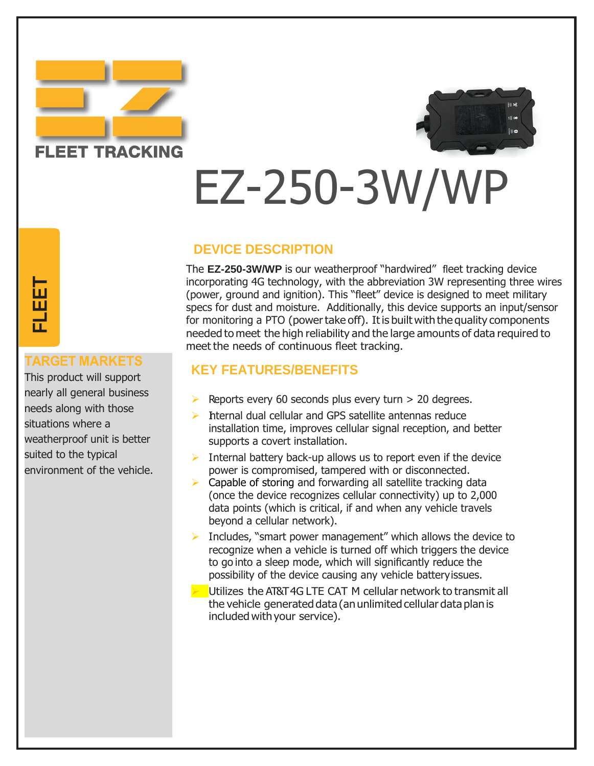



## EZ-250-3W/WP

### **DEVICE DESCRIPTION**

The **EZ-250-3W/WP** is our weatherproof "hardwired" fleet tracking device incorporating 4G technology, with the abbreviation 3W representing three wires (power, ground and ignition). This "fleet" device is designed to meet military specs for dust and moisture. Additionally, this device supports an input/sensor for monitoring a PTO (power take off). It is built with the quality components needed to meet the high reliability and the large amounts of data required to meet the needs of continuous fleet tracking.

## **KEY FEATURES/BENEFITS**

- $\triangleright$  Reports every 60 seconds plus every turn  $> 20$  degrees.
- $\triangleright$  Internal dual cellular and GPS satellite antennas reduce installation time, improves cellular signal reception, and better supports a covert installation.
- $\triangleright$  Internal battery back-up allows us to report even if the device power is compromised, tampered with or disconnected.
- $\triangleright$  Capable of storing and forwarding all satellite tracking data (once the device recognizes cellular connectivity) up to 2,000 data points (which is critical, if and when any vehicle travels beyond a cellular network).
- ➢ I ncludes, "smart power management" which allows the device to recognize when a vehicle is turned off which triggers the device to go into a sleep mode, which will significantly reduce the possibility of the device causing any vehicle batteryissues.
- $\blacktriangleright$  Utilizes the AT&T 4G LTE CAT M cellular network to transmit all the vehicle generated data (an unlimited cellular data plan is included with your service).

# **T**

This product will support nearly all general business needs along with those situations where a weatherproof unit is better suited to the typical **ENTIGET MARKETS**<br>This product will support<br>nearly all general business<br>needs along with those<br>situations where a<br>weatherproof unit is better<br>suited to the typical<br>environment of the vehicle.